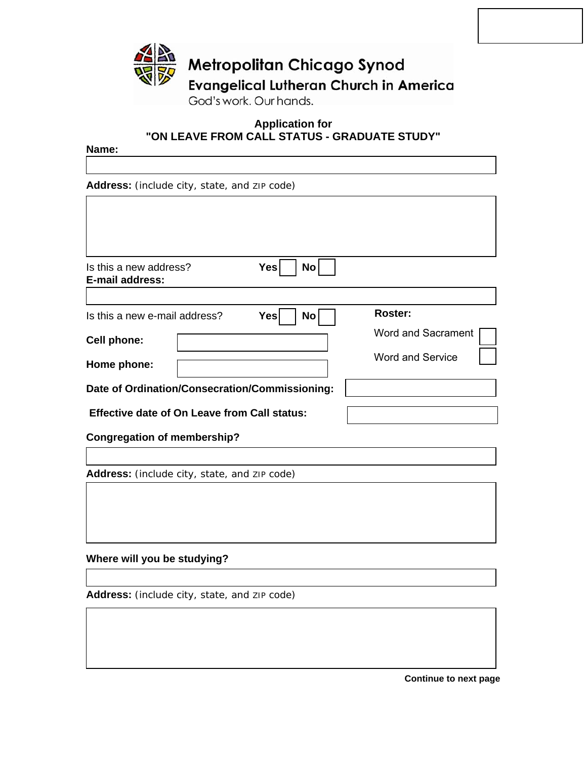

# **Application for "ON LEAVE FROM CALL STATUS - GRADUATE STUDY"**

#### **Name:**

**Address:** (include city, state, and ZIP code)

| Is this a new address?<br>E-mail address:           | Yes<br><b>No</b>  |                           |
|-----------------------------------------------------|-------------------|---------------------------|
|                                                     |                   |                           |
| Is this a new e-mail address?                       | Yesl<br><b>No</b> | <b>Roster:</b>            |
| Cell phone:                                         |                   | <b>Word and Sacrament</b> |
| Home phone:                                         |                   | <b>Word and Service</b>   |
|                                                     |                   |                           |
| Date of Ordination/Consecration/Commissioning:      |                   |                           |
| <b>Effective date of On Leave from Call status:</b> |                   |                           |
|                                                     |                   |                           |

**Congregation of membership?** 

**Address:** (include city, state, and ZIP code)

## **Where will you be studying?**

**Address:** (include city, state, and ZIP code)

**Continue to next page**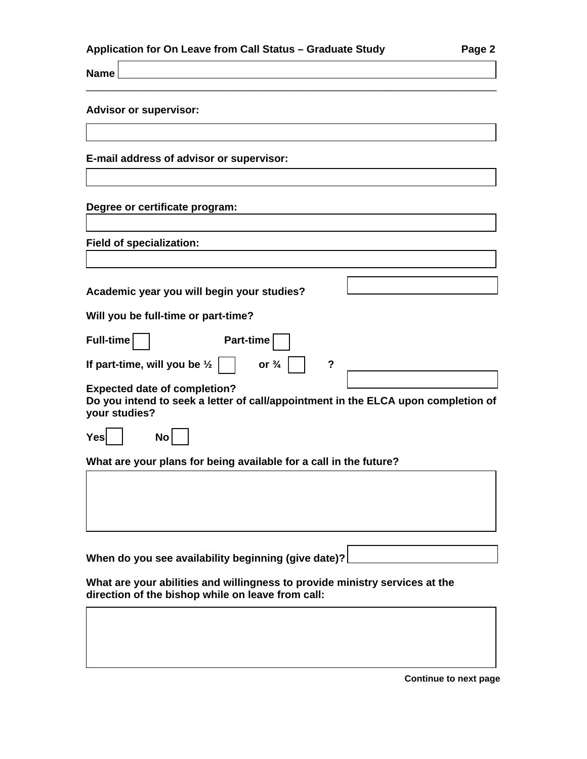| Application for On Leave from Call Status - Graduate Study | Page 2 |
|------------------------------------------------------------|--------|
|------------------------------------------------------------|--------|

**Name** 

#### **Advisor or supervisor:**

**E-mail address of advisor or supervisor:** 

#### **Degree or certificate program:**

**Field of specialization:**

| Academic year you will begin your studies?                  |                            |
|-------------------------------------------------------------|----------------------------|
| Will you be full-time or part-time?                         |                            |
| Full-time<br>Part-time                                      |                            |
| If part-time, will you be $\frac{1}{2}$<br>or $\frac{3}{4}$ | $\boldsymbol{\mathcal{P}}$ |
| <b>Expected date of completion?</b>                         |                            |

\_\_\_\_\_\_\_\_\_\_\_\_\_\_\_\_\_\_\_\_\_\_\_\_\_\_\_\_\_\_\_\_\_\_\_\_\_\_\_\_\_\_\_\_\_\_\_\_\_\_\_\_\_\_\_\_\_\_\_\_\_\_\_\_\_\_\_\_\_\_

**Do you intend to seek a letter of call/appointment in the ELCA upon completion of your studies?** 

**What are your plans for being available for a call in the future?** 

**When do you see availability beginning (give date)?** 

**What are your abilities and willingness to provide ministry services at the direction of the bishop while on leave from call:** 

**Continue to next page**